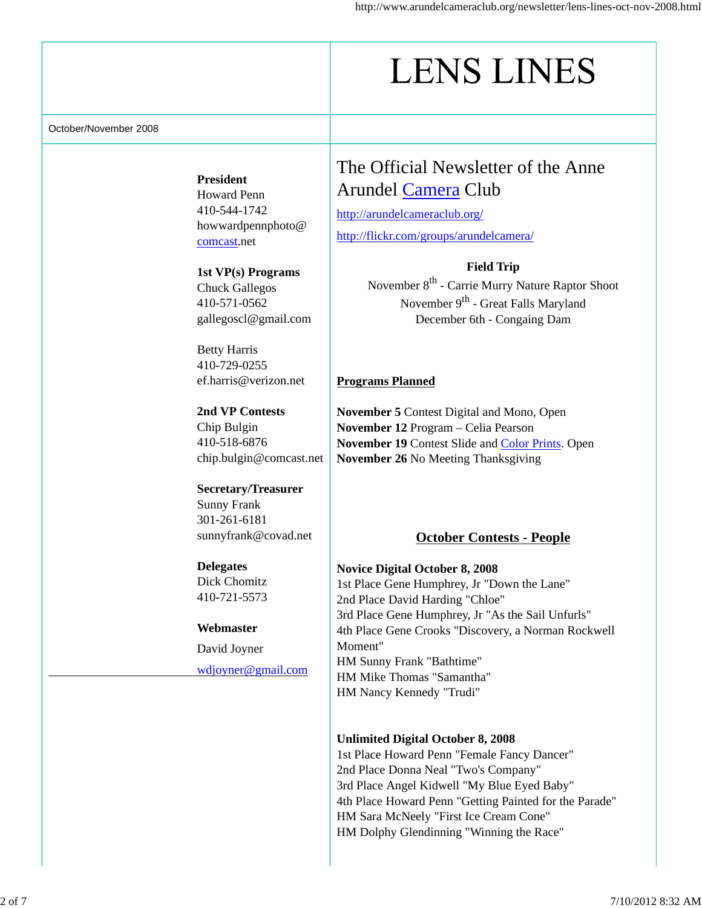# **LENS LINES**

October/November 2008

**President** Howard Penn 410-544-1742 howwardpennphoto@ comcast.net

# **1st VP(s) Programs**

Chuck Gallegos 410-571-0562 gallegoscl@gmail.com

Betty Harris 410-729-0255 ef.harris@verizon.net

**2nd VP Contests** Chip Bulgin 410-518-6876 chip.bulgin@comcast.net

#### **Secretary/Treasurer**

Sunny Frank 301-261-6181 sunnyfrank@covad.net

# **Delegates**

Dick Chomitz 410-721-5573

#### **Webmaster**

David Joyner wdjoyner@gmail.com

# The Official Newsletter of the Anne Arundel Camera Club

http://arundelcameraclub.org/ http://flickr.com/groups/arundelcamera/

#### **Field Trip**

November 8<sup>th</sup> - Carrie Murry Nature Raptor Shoot November 9<sup>th</sup> - Great Falls Maryland December 6th - Congaing Dam

# **Programs Planned**

**November 5** Contest Digital and Mono, Open **November 12** Program – Celia Pearson **November 19** Contest Slide and Color Prints. Open **November 26** No Meeting Thanksgiving

# **October Contests - People**

# **Novice Digital October 8, 2008**

1st Place Gene Humphrey, Jr "Down the Lane" 2nd Place David Harding "Chloe" 3rd Place Gene Humphrey, Jr "As the Sail Unfurls" 4th Place Gene Crooks "Discovery, a Norman Rockwell Moment" HM Sunny Frank "Bathtime" HM Mike Thomas "Samantha" HM Nancy Kennedy "Trudi"

#### **Unlimited Digital October 8, 2008**

1st Place Howard Penn "Female Fancy Dancer" 2nd Place Donna Neal "Two's Company" 3rd Place Angel Kidwell "My Blue Eyed Baby" 4th Place Howard Penn "Getting Painted for the Parade" HM Sara McNeely "First Ice Cream Cone" HM Dolphy Glendinning "Winning the Race"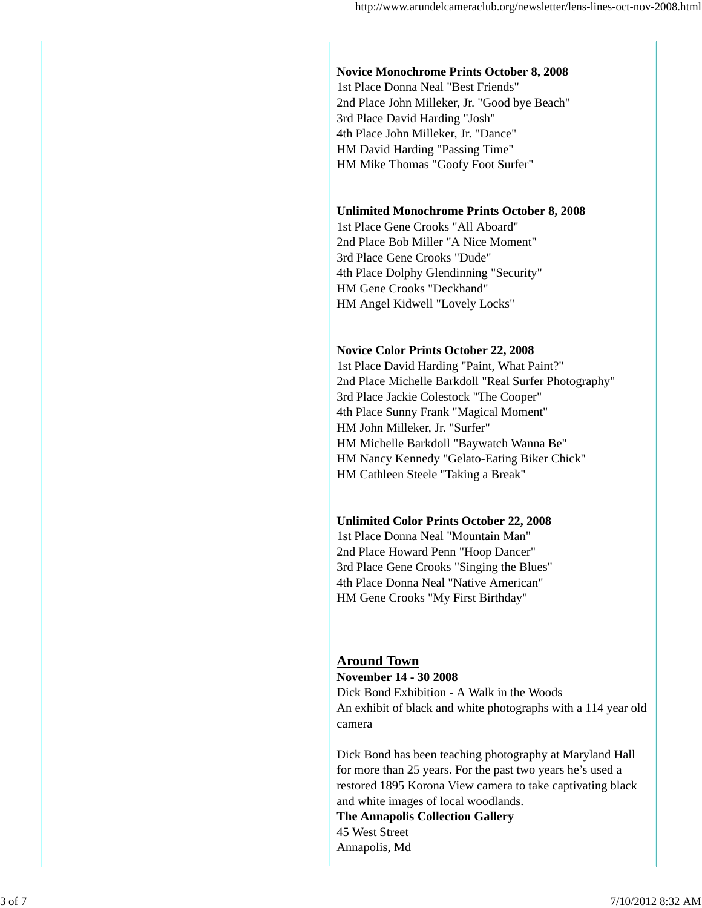# **Novice Monochrome Prints October 8, 2008**

1st Place Donna Neal "Best Friends" 2nd Place John Milleker, Jr. "Good bye Beach" 3rd Place David Harding "Josh" 4th Place John Milleker, Jr. "Dance" HM David Harding "Passing Time" HM Mike Thomas "Goofy Foot Surfer"

#### **Unlimited Monochrome Prints October 8, 2008**

1st Place Gene Crooks "All Aboard" 2nd Place Bob Miller "A Nice Moment" 3rd Place Gene Crooks "Dude" 4th Place Dolphy Glendinning "Security" HM Gene Crooks "Deckhand" HM Angel Kidwell "Lovely Locks"

#### **Novice Color Prints October 22, 2008**

1st Place David Harding "Paint, What Paint?" 2nd Place Michelle Barkdoll "Real Surfer Photography" 3rd Place Jackie Colestock "The Cooper" 4th Place Sunny Frank "Magical Moment" HM John Milleker, Jr. "Surfer" HM Michelle Barkdoll "Baywatch Wanna Be" HM Nancy Kennedy "Gelato-Eating Biker Chick" HM Cathleen Steele "Taking a Break"

#### **Unlimited Color Prints October 22, 2008**

1st Place Donna Neal "Mountain Man" 2nd Place Howard Penn "Hoop Dancer" 3rd Place Gene Crooks "Singing the Blues" 4th Place Donna Neal "Native American" HM Gene Crooks "My First Birthday"

# **Around Town**

**November 14 - 30 2008** Dick Bond Exhibition - A Walk in the Woods An exhibit of black and white photographs with a 114 year old camera

Dick Bond has been teaching photography at Maryland Hall for more than 25 years. For the past two years he's used a restored 1895 Korona View camera to take captivating black and white images of local woodlands.

**The Annapolis Collection Gallery** 45 West Street Annapolis, Md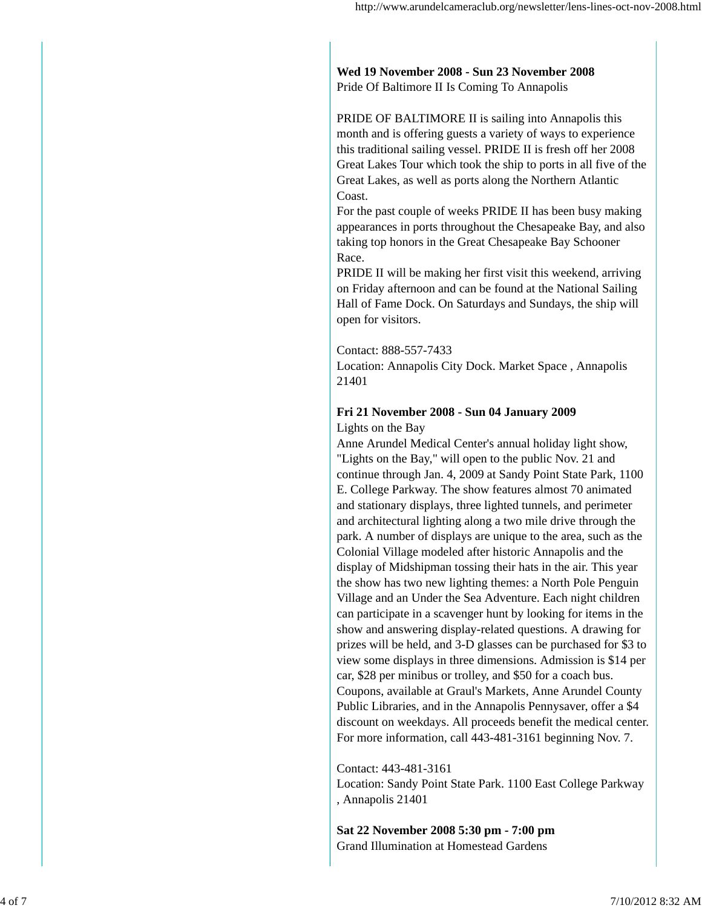**Wed 19 November 2008 - Sun 23 November 2008** Pride Of Baltimore II Is Coming To Annapolis

PRIDE OF BALTIMORE II is sailing into Annapolis this month and is offering guests a variety of ways to experience this traditional sailing vessel. PRIDE II is fresh off her 2008 Great Lakes Tour which took the ship to ports in all five of the Great Lakes, as well as ports along the Northern Atlantic Coast.

For the past couple of weeks PRIDE II has been busy making appearances in ports throughout the Chesapeake Bay, and also taking top honors in the Great Chesapeake Bay Schooner Race.

PRIDE II will be making her first visit this weekend, arriving on Friday afternoon and can be found at the National Sailing Hall of Fame Dock. On Saturdays and Sundays, the ship will open for visitors.

Contact: 888-557-7433

Location: Annapolis City Dock. Market Space , Annapolis 21401

# **Fri 21 November 2008 - Sun 04 January 2009**

Lights on the Bay

Anne Arundel Medical Center's annual holiday light show, "Lights on the Bay," will open to the public Nov. 21 and continue through Jan. 4, 2009 at Sandy Point State Park, 1100 E. College Parkway. The show features almost 70 animated and stationary displays, three lighted tunnels, and perimeter and architectural lighting along a two mile drive through the park. A number of displays are unique to the area, such as the Colonial Village modeled after historic Annapolis and the display of Midshipman tossing their hats in the air. This year the show has two new lighting themes: a North Pole Penguin Village and an Under the Sea Adventure. Each night children can participate in a scavenger hunt by looking for items in the show and answering display-related questions. A drawing for prizes will be held, and 3-D glasses can be purchased for \$3 to view some displays in three dimensions. Admission is \$14 per car, \$28 per minibus or trolley, and \$50 for a coach bus. Coupons, available at Graul's Markets, Anne Arundel County Public Libraries, and in the Annapolis Pennysaver, offer a \$4 discount on weekdays. All proceeds benefit the medical center. For more information, call 443-481-3161 beginning Nov. 7.

Contact: 443-481-3161

Location: Sandy Point State Park. 1100 East College Parkway , Annapolis 21401

**Sat 22 November 2008 5:30 pm - 7:00 pm** Grand Illumination at Homestead Gardens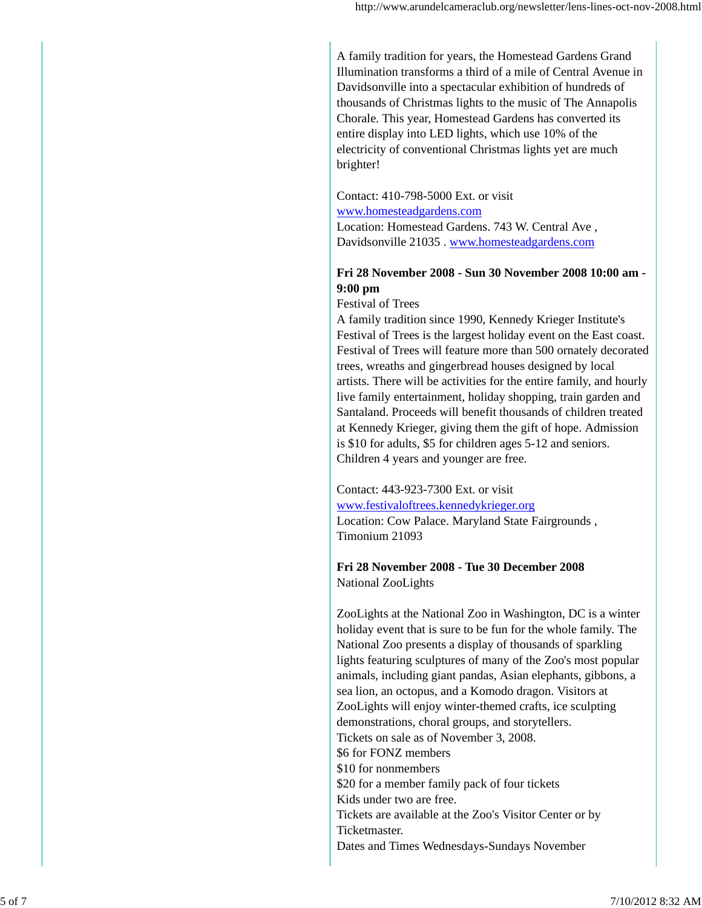A family tradition for years, the Homestead Gardens Grand Illumination transforms a third of a mile of Central Avenue in Davidsonville into a spectacular exhibition of hundreds of thousands of Christmas lights to the music of The Annapolis Chorale. This year, Homestead Gardens has converted its entire display into LED lights, which use 10% of the electricity of conventional Christmas lights yet are much brighter!

#### Contact: 410-798-5000 Ext. or visit www.homesteadgardens.com Location: Homestead Gardens. 743 W. Central Ave , Davidsonville 21035 . www.homesteadgardens.com

#### **Fri 28 November 2008 - Sun 30 November 2008 10:00 am - 9:00 pm**

Festival of Trees

A family tradition since 1990, Kennedy Krieger Institute's Festival of Trees is the largest holiday event on the East coast. Festival of Trees will feature more than 500 ornately decorated trees, wreaths and gingerbread houses designed by local artists. There will be activities for the entire family, and hourly live family entertainment, holiday shopping, train garden and Santaland. Proceeds will benefit thousands of children treated at Kennedy Krieger, giving them the gift of hope. Admission is \$10 for adults, \$5 for children ages 5-12 and seniors. Children 4 years and younger are free.

Contact: 443-923-7300 Ext. or visit www.festivaloftrees.kennedykrieger.org Location: Cow Palace. Maryland State Fairgrounds , Timonium 21093

**Fri 28 November 2008 - Tue 30 December 2008** National ZooLights

ZooLights at the National Zoo in Washington, DC is a winter holiday event that is sure to be fun for the whole family. The National Zoo presents a display of thousands of sparkling lights featuring sculptures of many of the Zoo's most popular animals, including giant pandas, Asian elephants, gibbons, a sea lion, an octopus, and a Komodo dragon. Visitors at ZooLights will enjoy winter-themed crafts, ice sculpting demonstrations, choral groups, and storytellers. Tickets on sale as of November 3, 2008. \$6 for FONZ members \$10 for nonmembers \$20 for a member family pack of four tickets Kids under two are free. Tickets are available at the Zoo's Visitor Center or by Ticketmaster. Dates and Times Wednesdays-Sundays November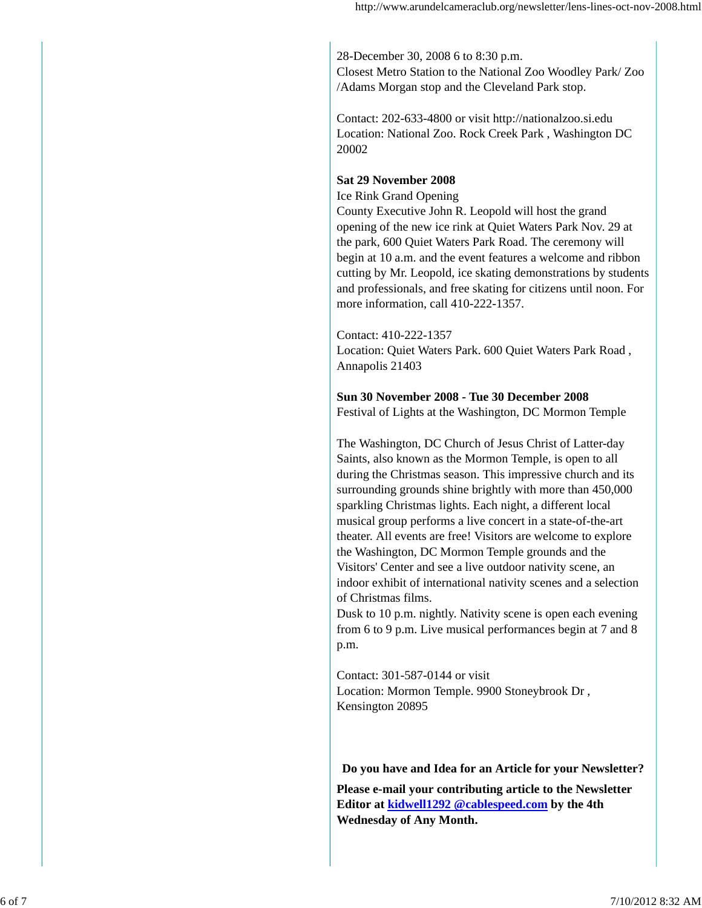28-December 30, 2008 6 to 8:30 p.m. Closest Metro Station to the National Zoo Woodley Park/ Zoo /Adams Morgan stop and the Cleveland Park stop.

Contact: 202-633-4800 or visit http://nationalzoo.si.edu Location: National Zoo. Rock Creek Park , Washington DC 20002

#### **Sat 29 November 2008**

Ice Rink Grand Opening County Executive John R. Leopold will host the grand opening of the new ice rink at Quiet Waters Park Nov. 29 at the park, 600 Quiet Waters Park Road. The ceremony will begin at 10 a.m. and the event features a welcome and ribbon cutting by Mr. Leopold, ice skating demonstrations by students and professionals, and free skating for citizens until noon. For more information, call 410-222-1357.

#### Contact: 410-222-1357

Location: Quiet Waters Park. 600 Quiet Waters Park Road , Annapolis 21403

#### **Sun 30 November 2008 - Tue 30 December 2008** Festival of Lights at the Washington, DC Mormon Temple

The Washington, DC Church of Jesus Christ of Latter-day Saints, also known as the Mormon Temple, is open to all during the Christmas season. This impressive church and its surrounding grounds shine brightly with more than 450,000 sparkling Christmas lights. Each night, a different local musical group performs a live concert in a state-of-the-art theater. All events are free! Visitors are welcome to explore the Washington, DC Mormon Temple grounds and the Visitors' Center and see a live outdoor nativity scene, an indoor exhibit of international nativity scenes and a selection of Christmas films.

Dusk to 10 p.m. nightly. Nativity scene is open each evening from 6 to 9 p.m. Live musical performances begin at 7 and 8 p.m.

Contact: 301-587-0144 or visit Location: Mormon Temple. 9900 Stoneybrook Dr , Kensington 20895

#### **Do you have and Idea for an Article for your Newsletter?**

**Please e-mail your contributing article to the Newsletter Editor at kidwell1292 @cablespeed.com by the 4th Wednesday of Any Month.**